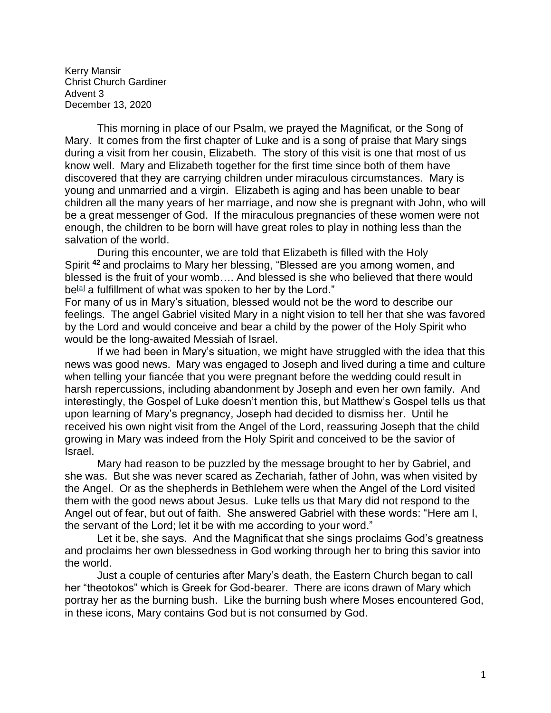Kerry Mansir Christ Church Gardiner Advent 3 December 13, 2020

This morning in place of our Psalm, we prayed the Magnificat, or the Song of Mary. It comes from the first chapter of Luke and is a song of praise that Mary sings during a visit from her cousin, Elizabeth. The story of this visit is one that most of us know well. Mary and Elizabeth together for the first time since both of them have discovered that they are carrying children under miraculous circumstances. Mary is young and unmarried and a virgin. Elizabeth is aging and has been unable to bear children all the many years of her marriage, and now she is pregnant with John, who will be a great messenger of God. If the miraculous pregnancies of these women were not enough, the children to be born will have great roles to play in nothing less than the salvation of the world.

During this encounter, we are told that Elizabeth is filled with the Holy Spirit **<sup>42</sup>** and proclaims to Mary her blessing, "Blessed are you among women, and blessed is the fruit of your womb…. And blessed is she who believed that there would be<sup>[\[a\]](https://www.biblegateway.com/passage/?search=luke+1%3A39-45&version=NRSV#fen-NRSV-24931a)</sup> a fulfillment of what was spoken to her by the Lord."

For many of us in Mary's situation, blessed would not be the word to describe our feelings. The angel Gabriel visited Mary in a night vision to tell her that she was favored by the Lord and would conceive and bear a child by the power of the Holy Spirit who would be the long-awaited Messiah of Israel.

If we had been in Mary's situation, we might have struggled with the idea that this news was good news. Mary was engaged to Joseph and lived during a time and culture when telling your fiancée that you were pregnant before the wedding could result in harsh repercussions, including abandonment by Joseph and even her own family. And interestingly, the Gospel of Luke doesn't mention this, but Matthew's Gospel tells us that upon learning of Mary's pregnancy, Joseph had decided to dismiss her. Until he received his own night visit from the Angel of the Lord, reassuring Joseph that the child growing in Mary was indeed from the Holy Spirit and conceived to be the savior of Israel.

Mary had reason to be puzzled by the message brought to her by Gabriel, and she was. But she was never scared as Zechariah, father of John, was when visited by the Angel. Or as the shepherds in Bethlehem were when the Angel of the Lord visited them with the good news about Jesus. Luke tells us that Mary did not respond to the Angel out of fear, but out of faith. She answered Gabriel with these words: "Here am I, the servant of the Lord; let it be with me according to your word."

Let it be, she says. And the Magnificat that she sings proclaims God's greatness and proclaims her own blessedness in God working through her to bring this savior into the world.

Just a couple of centuries after Mary's death, the Eastern Church began to call her "theotokos" which is Greek for God-bearer. There are icons drawn of Mary which portray her as the burning bush. Like the burning bush where Moses encountered God, in these icons, Mary contains God but is not consumed by God.